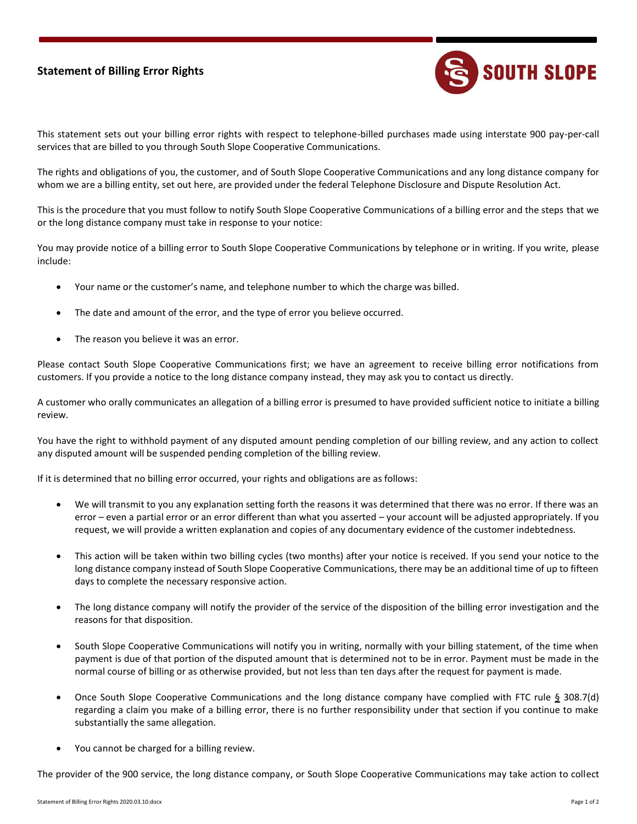## **Statement of Billing Error Rights**



This statement sets out your billing error rights with respect to telephone-billed purchases made using interstate 900 pay-per-call services that are billed to you through South Slope Cooperative Communications.

The rights and obligations of you, the customer, and of South Slope Cooperative Communications and any long distance company for whom we are a billing entity, set out here, are provided under the federal Telephone Disclosure and Dispute Resolution Act.

This is the procedure that you must follow to notify South Slope Cooperative Communications of a billing error and the steps that we or the long distance company must take in response to your notice:

You may provide notice of a billing error to South Slope Cooperative Communications by telephone or in writing. If you write, please include:

- Your name or the customer's name, and telephone number to which the charge was billed.
- The date and amount of the error, and the type of error you believe occurred.
- The reason you believe it was an error.

Please contact South Slope Cooperative Communications first; we have an agreement to receive billing error notifications from customers. If you provide a notice to the long distance company instead, they may ask you to contact us directly.

A customer who orally communicates an allegation of a billing error is presumed to have provided sufficient notice to initiate a billing review.

You have the right to withhold payment of any disputed amount pending completion of our billing review, and any action to collect any disputed amount will be suspended pending completion of the billing review.

If it is determined that no billing error occurred, your rights and obligations are as follows:

- We will transmit to you any explanation setting forth the reasons it was determined that there was no error. If there was an error – even a partial error or an error different than what you asserted – your account will be adjusted appropriately. If you request, we will provide a written explanation and copies of any documentary evidence of the customer indebtedness.
- This action will be taken within two billing cycles (two months) after your notice is received. If you send your notice to the long distance company instead of South Slope Cooperative Communications, there may be an additional time of up to fifteen days to complete the necessary responsive action.
- The long distance company will notify the provider of the service of the disposition of the billing error investigation and the reasons for that disposition.
- South Slope Cooperative Communications will notify you in writing, normally with your billing statement, of the time when payment is due of that portion of the disputed amount that is determined not to be in error. Payment must be made in the normal course of billing or as otherwise provided, but not less than ten days after the request for payment is made.
- Once South Slope Cooperative Communications and the long distance company have complied with FTC rule § 308.7(d) regarding a claim you make of a billing error, there is no further responsibility under that section if you continue to make substantially the same allegation.
- You cannot be charged for a billing review.

The provider of the 900 service, the long distance company, or South Slope Cooperative Communications may take action to collect